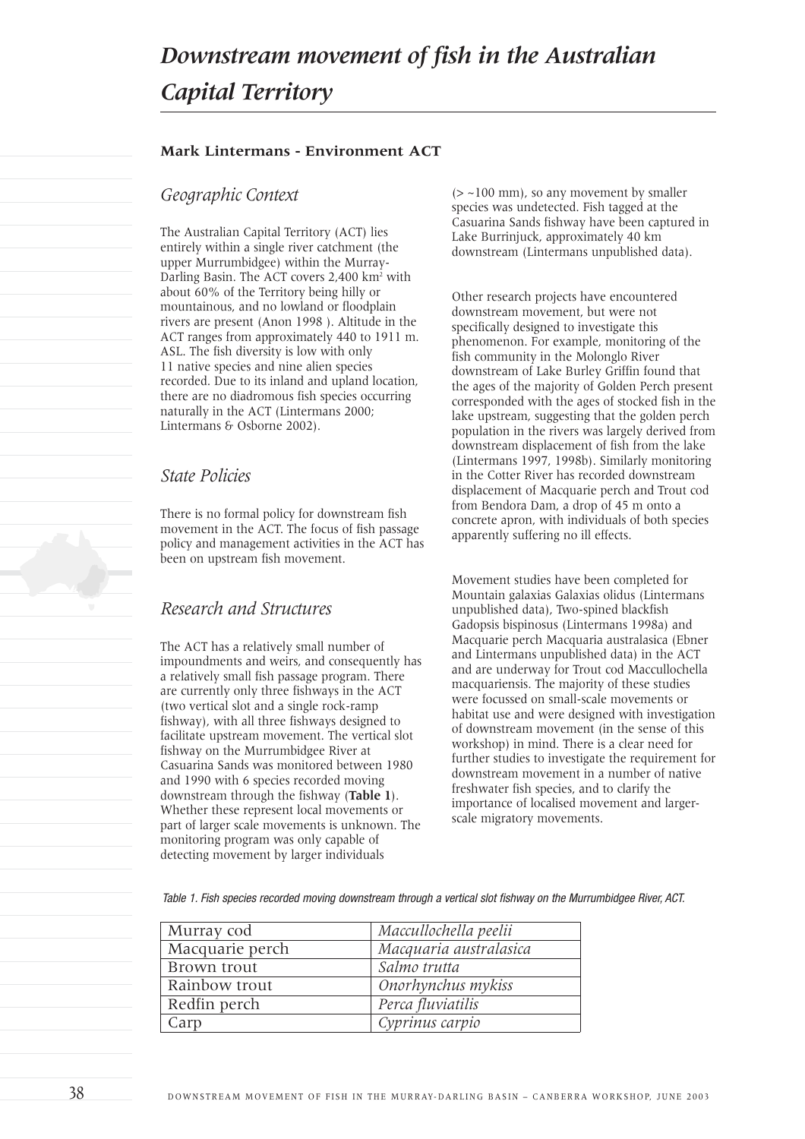#### **Mark Lintermans - Environment ACT**

## *Geographic Context*

The Australian Capital Territory (ACT) lies entirely within a single river catchment (the upper Murrumbidgee) within the Murray-Darling Basin. The ACT covers 2.400 km<sup>2</sup> with about 60% of the Territory being hilly or mountainous, and no lowland or floodplain rivers are present (Anon 1998 ). Altitude in the ACT ranges from approximately 440 to 1911 m. ASL. The fish diversity is low with only 11 native species and nine alien species recorded. Due to its inland and upland location, there are no diadromous fish species occurring naturally in the ACT (Lintermans 2000; Lintermans & Osborne 2002).

## *State Policies*

There is no formal policy for downstream fish movement in the ACT. The focus of fish passage policy and management activities in the ACT has been on upstream fish movement.

# *Research and Structures*

The ACT has a relatively small number of impoundments and weirs, and consequently has a relatively small fish passage program. There are currently only three fishways in the ACT (two vertical slot and a single rock-ramp fishway), with all three fishways designed to facilitate upstream movement. The vertical slot fishway on the Murrumbidgee River at Casuarina Sands was monitored between 1980 and 1990 with 6 species recorded moving downstream through the fishway (**Table 1**). Whether these represent local movements or part of larger scale movements is unknown. The monitoring program was only capable of detecting movement by larger individuals

 $(>$  ~100 mm), so any movement by smaller species was undetected. Fish tagged at the Casuarina Sands fishway have been captured in Lake Burrinjuck, approximately 40 km downstream (Lintermans unpublished data).

Other research projects have encountered downstream movement, but were not specifically designed to investigate this phenomenon. For example, monitoring of the fish community in the Molonglo River downstream of Lake Burley Griffin found that the ages of the majority of Golden Perch present corresponded with the ages of stocked fish in the lake upstream, suggesting that the golden perch population in the rivers was largely derived from downstream displacement of fish from the lake (Lintermans 1997, 1998b). Similarly monitoring in the Cotter River has recorded downstream displacement of Macquarie perch and Trout cod from Bendora Dam, a drop of 45 m onto a concrete apron, with individuals of both species apparently suffering no ill effects.

Movement studies have been completed for Mountain galaxias Galaxias olidus (Lintermans unpublished data), Two-spined blackfish Gadopsis bispinosus (Lintermans 1998a) and Macquarie perch Macquaria australasica (Ebner and Lintermans unpublished data) in the ACT and are underway for Trout cod Maccullochella macquariensis. The majority of these studies were focussed on small-scale movements or habitat use and were designed with investigation of downstream movement (in the sense of this workshop) in mind. There is a clear need for further studies to investigate the requirement for downstream movement in a number of native freshwater fish species, and to clarify the importance of localised movement and largerscale migratory movements.

*Table 1. Fish species recorded moving downstream through a vertical slot fishway on the Murrumbidgee River, ACT.*

| Murray cod      | Maccullochella peelii  |
|-----------------|------------------------|
| Macquarie perch | Macquaria australasica |
| Brown trout     | Salmo trutta           |
| Rainbow trout   | Onorhynchus mykiss     |
| Redfin perch    | Perca fluviatilis      |
| Carp            | Cyprinus carpio        |